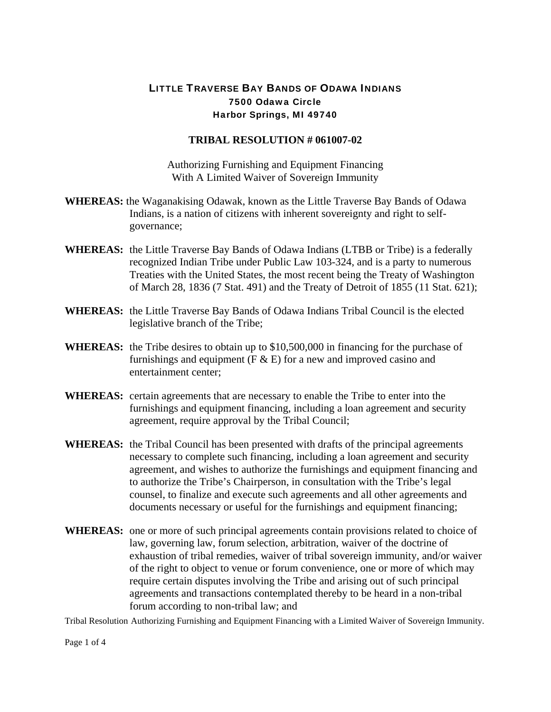## LITTLE TRAVERSE BAY BANDS OF ODAWA INDIANS 7500 Odawa Circle Harbor Springs, MI 49740

## **TRIBAL RESOLUTION # 061007-02**

Authorizing Furnishing and Equipment Financing With A Limited Waiver of Sovereign Immunity

- **WHEREAS:** the Waganakising Odawak, known as the Little Traverse Bay Bands of Odawa Indians, is a nation of citizens with inherent sovereignty and right to selfgovernance;
- **WHEREAS:** the Little Traverse Bay Bands of Odawa Indians (LTBB or Tribe) is a federally recognized Indian Tribe under Public Law 103-324, and is a party to numerous Treaties with the United States, the most recent being the Treaty of Washington of March 28, 1836 (7 Stat. 491) and the Treaty of Detroit of 1855 (11 Stat. 621);
- **WHEREAS:** the Little Traverse Bay Bands of Odawa Indians Tribal Council is the elected legislative branch of the Tribe;
- **WHEREAS:** the Tribe desires to obtain up to \$10,500,000 in financing for the purchase of furnishings and equipment ( $F \& E$ ) for a new and improved casino and entertainment center;
- **WHEREAS:** certain agreements that are necessary to enable the Tribe to enter into the furnishings and equipment financing, including a loan agreement and security agreement, require approval by the Tribal Council;
- **WHEREAS:** the Tribal Council has been presented with drafts of the principal agreements necessary to complete such financing, including a loan agreement and security agreement, and wishes to authorize the furnishings and equipment financing and to authorize the Tribe's Chairperson, in consultation with the Tribe's legal counsel, to finalize and execute such agreements and all other agreements and documents necessary or useful for the furnishings and equipment financing;
- **WHEREAS:** one or more of such principal agreements contain provisions related to choice of law, governing law, forum selection, arbitration, waiver of the doctrine of exhaustion of tribal remedies, waiver of tribal sovereign immunity, and/or waiver of the right to object to venue or forum convenience, one or more of which may require certain disputes involving the Tribe and arising out of such principal agreements and transactions contemplated thereby to be heard in a non-tribal forum according to non-tribal law; and

Tribal Resolution Authorizing Furnishing and Equipment Financing with a Limited Waiver of Sovereign Immunity.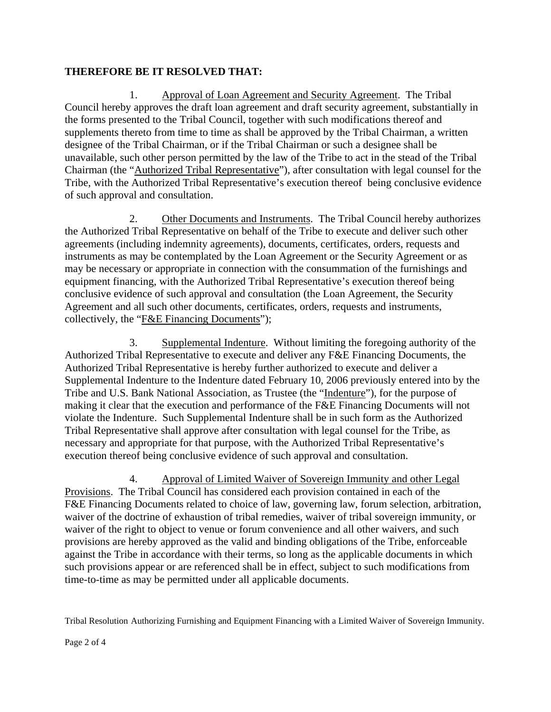## **THEREFORE BE IT RESOLVED THAT:**

1. Approval of Loan Agreement and Security Agreement. The Tribal Council hereby approves the draft loan agreement and draft security agreement, substantially in the forms presented to the Tribal Council, together with such modifications thereof and supplements thereto from time to time as shall be approved by the Tribal Chairman, a written designee of the Tribal Chairman, or if the Tribal Chairman or such a designee shall be unavailable, such other person permitted by the law of the Tribe to act in the stead of the Tribal Chairman (the "Authorized Tribal Representative"), after consultation with legal counsel for the Tribe, with the Authorized Tribal Representative's execution thereof being conclusive evidence of such approval and consultation.

2. Other Documents and Instruments. The Tribal Council hereby authorizes the Authorized Tribal Representative on behalf of the Tribe to execute and deliver such other agreements (including indemnity agreements), documents, certificates, orders, requests and instruments as may be contemplated by the Loan Agreement or the Security Agreement or as may be necessary or appropriate in connection with the consummation of the furnishings and equipment financing, with the Authorized Tribal Representative's execution thereof being conclusive evidence of such approval and consultation (the Loan Agreement, the Security Agreement and all such other documents, certificates, orders, requests and instruments, collectively, the "F&E Financing Documents");

3. Supplemental Indenture. Without limiting the foregoing authority of the Authorized Tribal Representative to execute and deliver any F&E Financing Documents, the Authorized Tribal Representative is hereby further authorized to execute and deliver a Supplemental Indenture to the Indenture dated February 10, 2006 previously entered into by the Tribe and U.S. Bank National Association, as Trustee (the "Indenture"), for the purpose of making it clear that the execution and performance of the F&E Financing Documents will not violate the Indenture. Such Supplemental Indenture shall be in such form as the Authorized Tribal Representative shall approve after consultation with legal counsel for the Tribe, as necessary and appropriate for that purpose, with the Authorized Tribal Representative's execution thereof being conclusive evidence of such approval and consultation.

4. Approval of Limited Waiver of Sovereign Immunity and other Legal Provisions. The Tribal Council has considered each provision contained in each of the F&E Financing Documents related to choice of law, governing law, forum selection, arbitration, waiver of the doctrine of exhaustion of tribal remedies, waiver of tribal sovereign immunity, or waiver of the right to object to venue or forum convenience and all other waivers, and such provisions are hereby approved as the valid and binding obligations of the Tribe, enforceable against the Tribe in accordance with their terms, so long as the applicable documents in which such provisions appear or are referenced shall be in effect, subject to such modifications from time-to-time as may be permitted under all applicable documents.

Tribal Resolution Authorizing Furnishing and Equipment Financing with a Limited Waiver of Sovereign Immunity.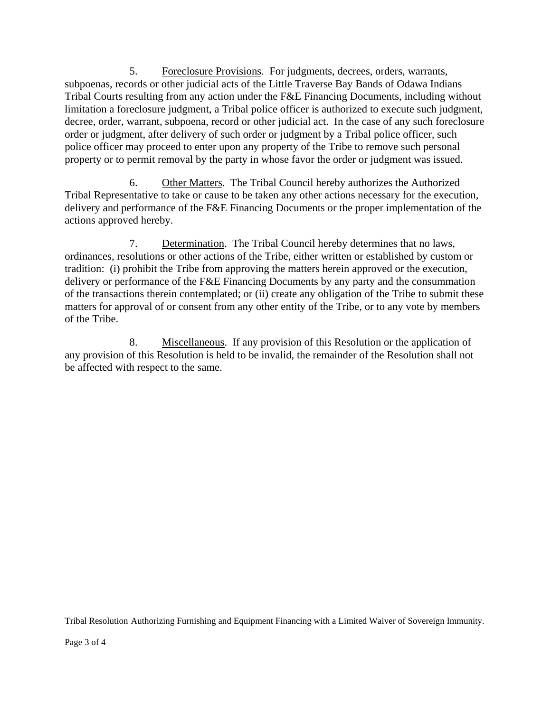5. Foreclosure Provisions. For judgments, decrees, orders, warrants, subpoenas, records or other judicial acts of the Little Traverse Bay Bands of Odawa Indians Tribal Courts resulting from any action under the F&E Financing Documents, including without limitation a foreclosure judgment, a Tribal police officer is authorized to execute such judgment, decree, order, warrant, subpoena, record or other judicial act. In the case of any such foreclosure order or judgment, after delivery of such order or judgment by a Tribal police officer, such police officer may proceed to enter upon any property of the Tribe to remove such personal property or to permit removal by the party in whose favor the order or judgment was issued.

6. Other Matters. The Tribal Council hereby authorizes the Authorized Tribal Representative to take or cause to be taken any other actions necessary for the execution, delivery and performance of the F&E Financing Documents or the proper implementation of the actions approved hereby.

7. Determination. The Tribal Council hereby determines that no laws, ordinances, resolutions or other actions of the Tribe, either written or established by custom or tradition: (i) prohibit the Tribe from approving the matters herein approved or the execution, delivery or performance of the F&E Financing Documents by any party and the consummation of the transactions therein contemplated; or (ii) create any obligation of the Tribe to submit these matters for approval of or consent from any other entity of the Tribe, or to any vote by members of the Tribe.

8. Miscellaneous. If any provision of this Resolution or the application of any provision of this Resolution is held to be invalid, the remainder of the Resolution shall not be affected with respect to the same.

Tribal Resolution Authorizing Furnishing and Equipment Financing with a Limited Waiver of Sovereign Immunity.